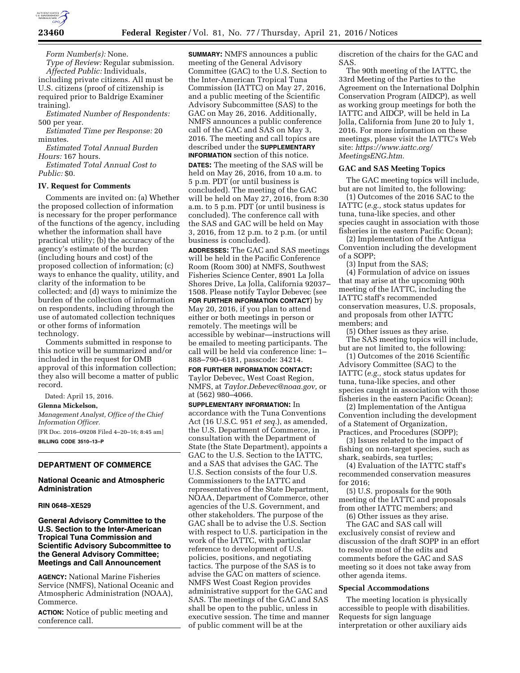

*Form Number(s):* None.

*Type of Review:* Regular submission. *Affected Public:* Individuals, including private citizens. All must be U.S. citizens (proof of citizenship is required prior to Baldrige Examiner

training). *Estimated Number of Respondents:* 

500 per year. *Estimated Time per Response:* 20 minutes.

*Estimated Total Annual Burden Hours:* 167 hours.

*Estimated Total Annual Cost to Public:* \$0.

### **IV. Request for Comments**

Comments are invited on: (a) Whether the proposed collection of information is necessary for the proper performance of the functions of the agency, including whether the information shall have practical utility; (b) the accuracy of the agency's estimate of the burden (including hours and cost) of the proposed collection of information; (c) ways to enhance the quality, utility, and clarity of the information to be collected; and (d) ways to minimize the burden of the collection of information on respondents, including through the use of automated collection techniques or other forms of information technology.

Comments submitted in response to this notice will be summarized and/or included in the request for OMB approval of this information collection; they also will become a matter of public record.

Dated: April 15, 2016.

## **Glenna Mickelson,**

*Management Analyst, Office of the Chief Information Officer.* 

[FR Doc. 2016–09208 Filed 4–20–16; 8:45 am] **BILLING CODE 3510–13–P** 

# **DEPARTMENT OF COMMERCE**

# **National Oceanic and Atmospheric Administration**

## **RIN 0648–XE529**

**General Advisory Committee to the U.S. Section to the Inter-American Tropical Tuna Commission and Scientific Advisory Subcommittee to the General Advisory Committee; Meetings and Call Announcement** 

**AGENCY:** National Marine Fisheries Service (NMFS), National Oceanic and Atmospheric Administration (NOAA), Commerce.

**ACTION:** Notice of public meeting and conference call.

**SUMMARY:** NMFS announces a public meeting of the General Advisory Committee (GAC) to the U.S. Section to the Inter-American Tropical Tuna Commission (IATTC) on May 27, 2016, and a public meeting of the Scientific Advisory Subcommittee (SAS) to the GAC on May 26, 2016. Additionally, NMFS announces a public conference call of the GAC and SAS on May 3, 2016. The meeting and call topics are described under the **SUPPLEMENTARY INFORMATION** section of this notice.

**DATES:** The meeting of the SAS will be held on May 26, 2016, from 10 a.m. to 5 p.m. PDT (or until business is concluded). The meeting of the GAC will be held on May 27, 2016, from 8:30 a.m. to 5 p.m. PDT (or until business is concluded). The conference call with the SAS and GAC will be held on May 3, 2016, from 12 p.m. to 2 p.m. (or until business is concluded).

**ADDRESSES:** The GAC and SAS meetings will be held in the Pacific Conference Room (Room 300) at NMFS, Southwest Fisheries Science Center, 8901 La Jolla Shores Drive, La Jolla, California 92037– 1508. Please notify Taylor Debevec (see **FOR FURTHER INFORMATION CONTACT**) by May 20, 2016, if you plan to attend either or both meetings in person or remotely. The meetings will be accessible by webinar—instructions will be emailed to meeting participants. The call will be held via conference line: 1– 888–790–6181, passcode: 34214.

# **FOR FURTHER INFORMATION CONTACT:**  Taylor Debevec, West Coast Region, NMFS, at *[Taylor.Debevec@noaa.gov,](mailto:Taylor.Debevec@noaa.gov)* or at (562) 980–4066.

**SUPPLEMENTARY INFORMATION:** In accordance with the Tuna Conventions Act (16 U.S.C. 951 *et seq.*), as amended, the U.S. Department of Commerce, in consultation with the Department of State (the State Department), appoints a GAC to the U.S. Section to the IATTC, and a SAS that advises the GAC. The U.S. Section consists of the four U.S. Commissioners to the IATTC and representatives of the State Department, NOAA, Department of Commerce, other agencies of the U.S. Government, and other stakeholders. The purpose of the GAC shall be to advise the U.S. Section with respect to U.S. participation in the work of the IATTC, with particular reference to development of U.S. policies, positions, and negotiating tactics. The purpose of the SAS is to advise the GAC on matters of science. NMFS West Coast Region provides administrative support for the GAC and SAS. The meetings of the GAC and SAS shall be open to the public, unless in executive session. The time and manner of public comment will be at the

discretion of the chairs for the GAC and SAS.

The 90th meeting of the IATTC, the 33rd Meeting of the Parties to the Agreement on the International Dolphin Conservation Program (AIDCP), as well as working group meetings for both the IATTC and AIDCP, will be held in La Jolla, California from June 20 to July 1, 2016. For more information on these meetings, please visit the IATTC's Web site: *[https://www.iattc.org/](https://www.iattc.org/MeetingsENG.htm) [MeetingsENG.htm.](https://www.iattc.org/MeetingsENG.htm)* 

## **GAC and SAS Meeting Topics**

The GAC meeting topics will include, but are not limited to, the following:

(1) Outcomes of the 2016 SAC to the IATTC (*e.g.,* stock status updates for tuna, tuna-like species, and other species caught in association with those fisheries in the eastern Pacific Ocean);

(2) Implementation of the Antigua Convention including the development of a SOPP;

(3) Input from the SAS;

(4) Formulation of advice on issues that may arise at the upcoming 90th meeting of the IATTC, including the IATTC staff's recommended conservation measures, U.S. proposals, and proposals from other IATTC members; and

(5) Other issues as they arise. The SAS meeting topics will include, but are not limited to, the following:

(1) Outcomes of the 2016 Scientific Advisory Committee (SAC) to the IATTC (*e.g.,* stock status updates for tuna, tuna-like species, and other species caught in association with those fisheries in the eastern Pacific Ocean);

(2) Implementation of the Antigua Convention including the development of a Statement of Organization, Practices, and Procedures (SOPP);

(3) Issues related to the impact of fishing on non-target species, such as shark, seabirds, sea turtles;

(4) Evaluation of the IATTC staff's recommended conservation measures for 2016;

(5) U.S. proposals for the 90th meeting of the IATTC and proposals from other IATTC members; and

(6) Other issues as they arise. The GAC and SAS call will exclusively consist of review and discussion of the draft SOPP in an effort to resolve most of the edits and comments before the GAC and SAS meeting so it does not take away from other agenda items.

### **Special Accommodations**

The meeting location is physically accessible to people with disabilities. Requests for sign language interpretation or other auxiliary aids